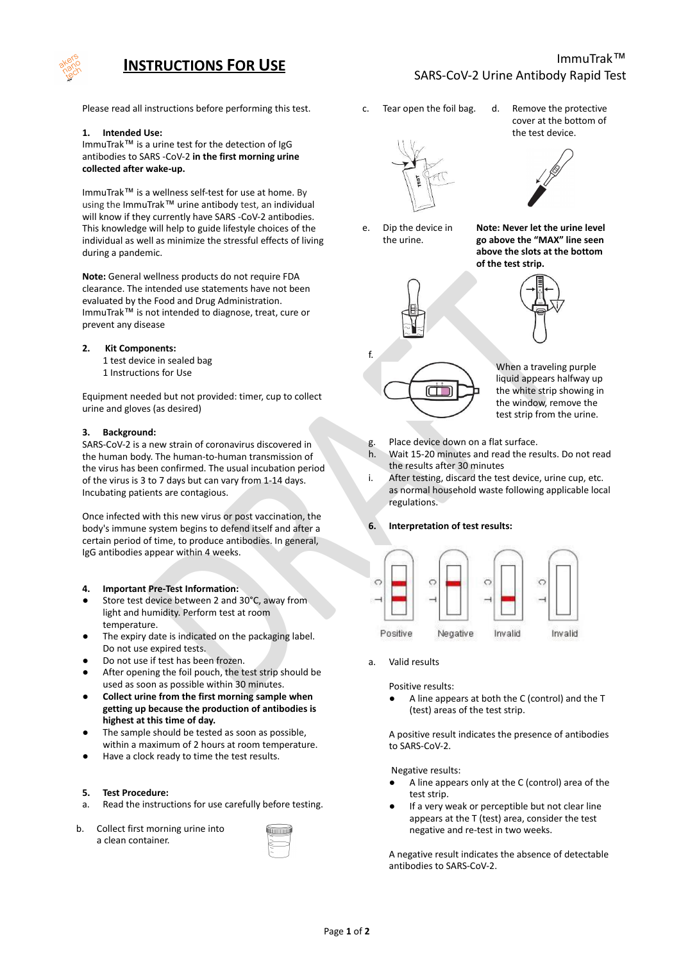

# **INSTRUCTIONS FOR USE**

## ImmuTrak™ SARS-CoV-2 Urine Antibody Rapid Test

Please read all instructions before performing this test.

#### **1. Intended Use:**

ImmuTrak™ is a urine test for the detection of IgG antibodies to SARS -CoV-2 **in the first morning urine collected after wake-up.**

ImmuTrak™ is a wellness self-test for use at home. By using the ImmuTrak™ urine antibody test, an individual will know if they currently have SARS -CoV-2 antibodies. This knowledge will help to guide lifestyle choices of the individual as well as minimize the stressful effects of living during a pandemic.

**Note:** General wellness products do not require FDA clearance. The intended use statements have not been evaluated by the Food and Drug Administration. ImmuTrak™ is not intended to diagnose, treat, cure or prevent any disease

#### **2. Kit Components:**

- 1 test device in sealed bag
- 1 Instructions for Use

Equipment needed but not provided: timer, cup to collect urine and gloves (as desired)

#### **3. Background:**

SARS-CoV-2 is a new strain of coronavirus discovered in the human body. The human-to-human transmission of the virus has been confirmed. The usual incubation period of the virus is 3 to 7 days but can vary from 1-14 days. Incubating patients are contagious.

Once infected with this new virus or post vaccination, the body's immune system begins to defend itself and after a certain period of time, to produce antibodies. In general, IgG antibodies appear within 4 weeks.

- **4. Important Pre-Test Information:**
- Store test device between 2 and 30°C, away from light and humidity. Perform test at room temperature.
- The expiry date is indicated on the packaging label. Do not use expired tests.
- Do not use if test has been frozen.
- After opening the foil pouch, the test strip should be used as soon as possible within 30 minutes.
- **● Collect urine from the first morning sample when getting up because the production of antibodies is highest at this time of day.**
- The sample should be tested as soon as possible, within a maximum of 2 hours at room temperature.
- Have a clock ready to time the test results.

#### **5. Test Procedure:**

- a. Read the instructions for use carefully before testing.
- b. Collect first morning urine into a clean container.

c. Tear open the foil bag. d. Remove the protective



e. Dip the device in the urine.

f.

cover at the bottom of the test device.



**Note: Never let the urine level go above the "MAX" line seen above the slots at the bottom of the test strip.**



When a traveling purple liquid appears halfway up the white strip showing in

test strip from the urine.

- g. Place device down on a flat surface.
- h. Wait 15-20 minutes and read the results. Do not read the results after 30 minutes
- i. After testing, discard the test device, urine cup, etc. as normal household waste following applicable local regulations.

## **6. Interpretation of test results:**



a. Valid results

Positive results:

A line appears at both the C (control) and the T (test) areas of the test strip.

A positive result indicates the presence of antibodies to SARS-CoV-2.

Negative results:

- A line appears only at the C (control) area of the test strip.
- If a very weak or perceptible but not clear line appears at the T (test) area, consider the test negative and re-test in two weeks.

A negative result indicates the absence of detectable antibodies to SARS-CoV-2.